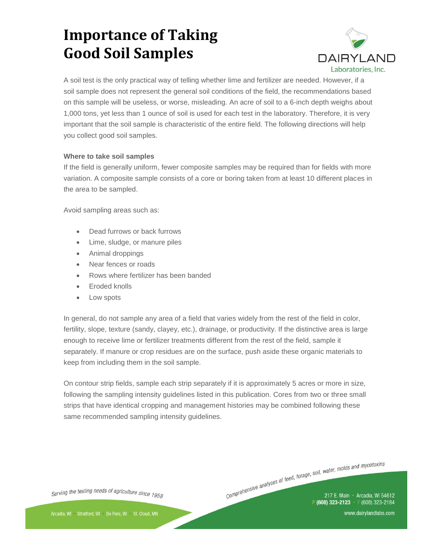

A soil test is the only practical way of telling whether lime and fertilizer are needed. However, if a soil sample does not represent the general soil conditions of the field, the recommendations based on this sample will be useless, or worse, misleading. An acre of soil to a 6-inch depth weighs about 1,000 tons, yet less than 1 ounce of soil is used for each test in the laboratory. Therefore, it is very important that the soil sample is characteristic of the entire field. The following directions will help you collect good soil samples.

#### **Where to take soil samples**

If the field is generally uniform, fewer composite samples may be required than for fields with more variation. A composite sample consists of a core or boring taken from at least 10 different places in the area to be sampled.

Avoid sampling areas such as:

- Dead furrows or back furrows
- Lime, sludge, or manure piles
- Animal droppings
- Near fences or roads
- Rows where fertilizer has been banded
- **Eroded knolls**
- Low spots

In general, do not sample any area of a field that varies widely from the rest of the field in color, fertility, slope, texture (sandy, clayey, etc.), drainage, or productivity. If the distinctive area is large enough to receive lime or fertilizer treatments different from the rest of the field, sample it separately. If manure or crop residues are on the surface, push aside these organic materials to keep from including them in the soil sample.

On contour strip fields, sample each strip separately if it is approximately 5 acres or more in size, following the sampling intensity guidelines listed in this publication. Cores from two or three small strips that have identical cropping and management histories may be combined following these same recommended sampling intensity guidelines.

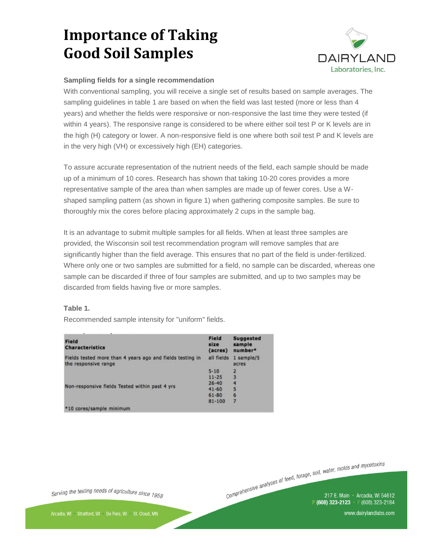

#### **Sampling fields for a single recommendation**

With conventional sampling, you will receive a single set of results based on sample averages. The sampling guidelines in table 1 are based on when the field was last tested (more or less than 4 years) and whether the fields were responsive or non-responsive the last time they were tested (if within 4 years). The responsive range is considered to be where either soil test P or K levels are in the high (H) category or lower. A non-responsive field is one where both soil test P and K levels are in the very high (VH) or excessively high (EH) categories.

To assure accurate representation of the nutrient needs of the field, each sample should be made up of a minimum of 10 cores. Research has shown that taking 10-20 cores provides a more representative sample of the area than when samples are made up of fewer cores. Use a Wshaped sampling pattern (as shown in figure 1) when gathering composite samples. Be sure to thoroughly mix the cores before placing approximately 2 cups in the sample bag.

It is an advantage to submit multiple samples for all fields. When at least three samples are provided, the Wisconsin soil test recommendation program will remove samples that are significantly higher than the field average. This ensures that no part of the field is under-fertilized. Where only one or two samples are submitted for a field, no sample can be discarded, whereas one sample can be discarded if three of four samples are submitted, and up to two samples may be discarded from fields having five or more samples.

#### **Table 1.**

Recommended sample intensity for "uniform" fields.

| Field<br><b>Characteristics</b>                                                   | Field<br>size<br>(acres) | <b>Suggested</b><br>sample<br>number* |
|-----------------------------------------------------------------------------------|--------------------------|---------------------------------------|
| Fields tested more than 4 years ago and fields testing in<br>the responsive range | all fields               | 1 sample/5<br>acres                   |
| Non-responsive fields Tested within past 4 yrs                                    | $5 - 10$                 | $\overline{2}$                        |
|                                                                                   | $11 - 25$                | 3                                     |
|                                                                                   | $26 - 40$                | 4                                     |
|                                                                                   | $41 - 60$                | 5                                     |
|                                                                                   | $61 - 80$                | 6                                     |
|                                                                                   | $81 - 100$               | $\overline{z}$                        |
| *10 cores/sample minimum                                                          |                          |                                       |

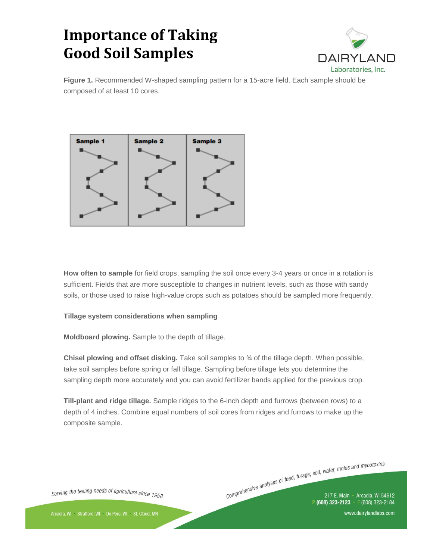

**Figure 1.** Recommended W-shaped sampling pattern for a 15-acre field. Each sample should be composed of at least 10 cores.



**How often to sample** for field crops, sampling the soil once every 3-4 years or once in a rotation is sufficient. Fields that are more susceptible to changes in nutrient levels, such as those with sandy soils, or those used to raise high-value crops such as potatoes should be sampled more frequently.

#### **Tillage system considerations when sampling**

**Moldboard plowing.** Sample to the depth of tillage.

**Chisel plowing and offset disking.** Take soil samples to ¾ of the tillage depth. When possible, take soil samples before spring or fall tillage. Sampling before tillage lets you determine the sampling depth more accurately and you can avoid fertilizer bands applied for the previous crop.

**Till-plant and ridge tillage.** Sample ridges to the 6-inch depth and furrows (between rows) to a depth of 4 inches. Combine equal numbers of soil cores from ridges and furrows to make up the composite sample.